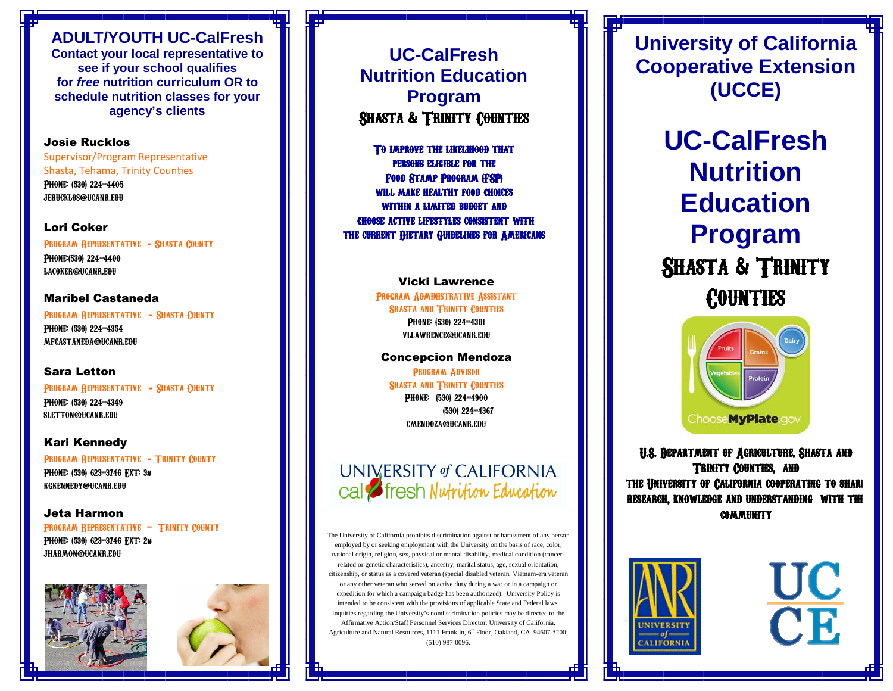### **ADULT/YOUTH UC-CalFresh**

 **Contact your local representative to see if your school qualifies for free nutrition curriculum OR to schedule nutrition classes for your agency's clients**

#### Josie Rucklos

Supervisor/Program Representative Shasta, Tehama, Trinity Counties Phone: (530) 224-4405 jerucklos@ucanr.edu

#### Lori Coker

PROGRAM REPRESENTATIVE - SHASTA COUNTY PHONE:(530) 224-4400 lacoker@ucanr.edu

#### Maribel Castaneda

Program Representative - Shasta CountyPHONE: (530) 224-4354 mfcastaneda@ucanr.edu

#### Sara Letton

Program Representative - Shasta CountyPHONE: (530) 224-4349 sletton@ucanr.edu

#### Kari Kennedy

Program Representative - Trinity CountyPHONE: (530) 623-3746 FXT: 3# kgkennedy@ucanr.edu

#### Jeta Harmon

PROGRAM REPRESENTATIVE - TRINITY COUNTY Phone: (530) 623-3746 Ext: 2# jharmon@ucanr.edu





**UC-CalFresh Nutrition Education Program** Shasta & Trinity Counties

TO IMPROVE THE LIKELIHOOD THAT persons eligible for the the FOOD STAMP PROGRAM (FSP) WILL MAKE HEALTHY FOOD CHOICES WITHIN A LIMITED BUDGET AND choose active lifestyles consistent with active lifestyles consistent withlifestyles consistent with THE CURRENT DIETARY GUIDELINES FOR AMERICANS

> Vicki Lawrence Program Administrative Assistant SHASTA AND TRINITY COUNTIES Phone: (530) 224-4301 vllawrence@ucanr.edu

#### Concepcion Mendoza

Program Advisor SHASTA AND TRINITY COUNTIES PHONE: (530) 224-4900 (530) 224-4367 cmendoza@ucanr.edu

### UNIVERSITY of CALIFORNIA cal **S** fresh Nutrition Education

The University of California prohibits discrimination against or harassment of any person employed by or seeking employment with the University on the basis of race, color, national origin, religion, sex, physical or mental disability, medical condition (cancerrelated or genetic characteristics), ancestry, marital status, age, sexual orientation, citizenship, or status as a covered veteran (special disabled veteran, Vietnam-era veteran or any other veteran who served on active duty during a war or in a campaign or expedition for which a campaign badge has been authorized). University Policy is intended to be consistent with the provisions of applicable State and Federal laws. Inquiries regarding the University's nondiscrimination policies may be directed to the Affirmative Action/Staff Personnel Services Director, University of California, Agriculture and Natural Resources, 1111 Franklin, 6<sup>th</sup> Floor, Oakland, CA 94607-5200; (510) 987-0096.

**University of California Cooperative Extension (UCCE)** 

> **UC-CalFresh Nutrition Education Program** SHASTA & TRINITY COUNTIES



U.S. Department of Agriculture, Shasta and Trinity Counties, and Trinity Counties, THE UNIVERSITY OF CALIFORNIA COOPERATING TO SHARE research, knowledge and understanding with the community community

UC

CE.